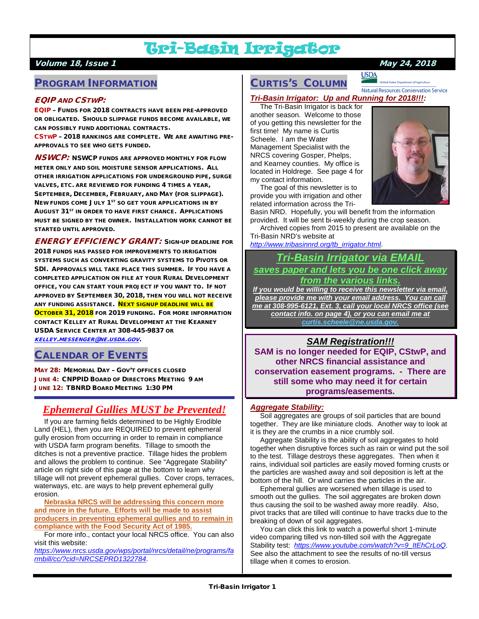## Tri-Basin Irrigator

#### Volume 18, Issue 1 May 24, 2018

## PROGRAM INFORMATION

#### EQIP AND CSTWP:

EQIP – FUNDS FOR 2018 CONTRACTS HAVE BEEN PRE-APPROVED OR OBLIGATED. SHOULD SLIPPAGE FUNDS BECOME AVAILABLE, WE CAN POSSIBLY FUND ADDITIONAL CONTRACTS.

CSTWP – 2018 RANKINGS ARE COMPLETE. WE ARE AWAITING PRE-APPROVALS TO SEE WHO GETS FUNDED.

**NSWCP:** NSWCP FUNDS ARE APPROVED MONTHLY FOR FLOW METER ONLY AND SOIL MOISTURE SENSOR APPLICATIONS. ALL OTHER IRRIGATION APPLICATIONS FOR UNDERGROUND PIPE, SURGE VALVES, ETC. ARE REVIEWED FOR FUNDING 4 TIMES A YEAR, SEPTEMBER, DECEMBER, FEBRUARY, AND MAY (FOR SLIPPAGE). NEW FUNDS COME JULY 1<sup>ST</sup> SO GET YOUR APPLICATIONS IN BY AUGUST 31<sup>ST</sup> IN ORDER TO HAVE FIRST CHANCE. APPLICATIONS MUST BE SIGNED BY THE OWNER. INSTALLATION WORK CANNOT BE STARTED UNTIL APPROVED.

ENERGY EFFICIENCY GRANT: SIGN-UP DEADLINE FOR 2018 FUNDS HAS PASSED FOR IMPROVEMENTS TO IRRIGATION SYSTEMS SUCH AS CONVERTING GRAVITY SYSTEMS TO PIVOTS OR SDI. APPROVALS WILL TAKE PLACE THIS SUMMER. IF YOU HAVE A COMPLETED APPLICATION ON FILE AT YOUR RURAL DEVELOPMENT OFFICE, YOU CAN START YOUR PROJECT IF YOU WANT TO. IF NOT APPROVED BY SEPTEMBER 30, 2018, THEN YOU WILL NOT RECEIVE ANY FUNDING ASSISTANCE. NEXT SIGNUP DEADLINE WILL BE OCTOBER 31, 2018 FOR 2019 FUNDING. FOR MORE INFORMATION CONTACT KELLEY AT RURAL DEVELOPMENT AT THE KEARNEY USDA SERVICE CENTER AT 308-445-9837 OR [KELLEY.MESSENGER@NE.USDA.GOV](mailto:kelley.messenger@ne.usda.gov).

#### CALENDAR OF EVENTS

MAY 28: MEMORIAL DAY – GOV'T OFFICES CLOSED JUNE 4: CNPPID BOARD OF DIRECTORS MEETING 9 AM JUNE 12: TBNRD BOARD MEETING 1:30 PM

## *Ephemeral Gullies MUST be Prevented!*

 If you are farming fields determined to be Highly Erodible Land (HEL), then you are REQUIRED to prevent ephemeral gully erosion from occurring in order to remain in compliance with USDA farm program benefits. Tillage to smooth the ditches is not a preventive practice. Tillage hides the problem and allows the problem to continue. See "Aggregate Stability" article on right side of this page at the bottom to learn why tillage will not prevent ephemeral gullies. Cover crops, terraces, waterways, etc. are ways to help prevent ephemeral gully erosion.

 **Nebraska NRCS will be addressing this concern more and more in the future. Efforts will be made to assist producers in preventing ephemeral gullies and to remain in compliance with the Food Security Act of 1985.**

 For more info., contact your local NRCS office. You can also visit this website:

*[https://www.nrcs.usda.gov/wps/portal/nrcs/detail/ne/programs/fa](https://www.nrcs.usda.gov/wps/portal/nrcs/detail/ne/programs/farmbill/cc/?cid=NRCSEPRD1322784) [rmbill/cc/?cid=NRCSEPRD1322784](https://www.nrcs.usda.gov/wps/portal/nrcs/detail/ne/programs/farmbill/cc/?cid=NRCSEPRD1322784)*.

## CURTIS'S COLUMN

**USDA Natural Resources Conservation Service** 

*Tri-Basin Irrigator: Up and Running for 2018!!!:*

 The Tri-Basin Irrigator is back for another season. Welcome to those of you getting this newsletter for the first time! My name is Curtis Scheele. I am the Water Management Specialist with the NRCS covering Gosper, Phelps, and Kearney counties. My office is located in Holdrege. See page 4 for my contact information.



 The goal of this newsletter is to provide you with irrigation and other related information across the Tri-

Basin NRD. Hopefully, you will benefit from the information provided. It will be sent bi-weekly during the crop season.

 Archived copies from 2015 to present are available on the Tri-Basin NRD's website at

*[http://www.tribasinnrd.org/tb\\_irrigator.html](http://www.tribasinnrd.org/tb_irrigator.html)*.

### *Tri-Basin Irrigator via EMAIL saves paper and lets you be one click away from the various links.*

*If you would be willing to receive this newsletter via email, please provide me with your email address. You can call me at 308-995-6121, Ext. 3, call your local NRCS office (see contact info. on page 4), or you can email me at [curtis.scheele@ne.usda.gov.](mailto:curtis.scheele@ne.usda.gov)* 

### *SAM Registration!!!*

**SAM is no longer needed for EQIP, CStwP, and other NRCS financial assistance and conservation easement programs. - There are still some who may need it for certain programs/easements.** 

#### *Aggregate Stability:*

 Soil aggregates are groups of soil particles that are bound together. They are like miniature clods. Another way to look at it is they are the crumbs in a nice crumbly soil.

 Aggregate Stability is the ability of soil aggregates to hold together when disruptive forces such as rain or wind put the soil to the test. Tillage destroys these aggregates. Then when it rains, individual soil particles are easily moved forming crusts or the particles are washed away and soil deposition is left at the bottom of the hill. Or wind carries the particles in the air.

 Ephemeral gullies are worsened when tillage is used to smooth out the gullies. The soil aggregates are broken down thus causing the soil to be washed away more readily. Also, pivot tracks that are tilled will continue to have tracks due to the breaking of down of soil aggregates.

 You can click this link to watch a powerful short 1-minute video comparing tilled vs non-tilled soil with the Aggregate Stability test: *[https://www.youtube.com/watch?v=9\\_ItEhCrLoQ](https://www.youtube.com/watch?v=9_ItEhCrLoQ)*. See also the attachment to see the results of no-till versus tillage when it comes to erosion.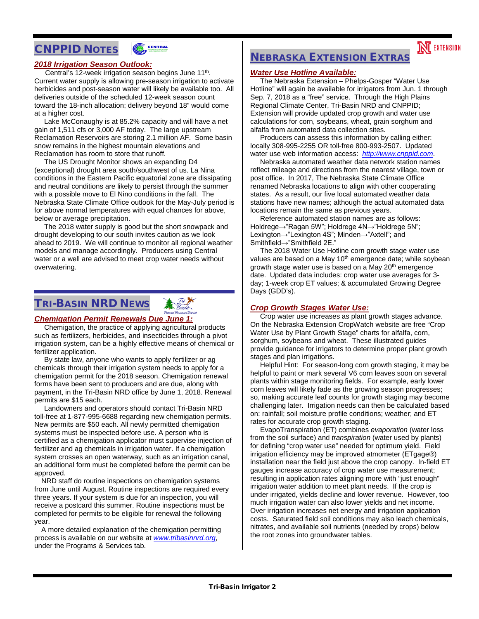## CNPPID NOTES



#### *2018 Irrigation Season Outlook:*

Central's 12-week irrigation season begins June 11<sup>th</sup>. Current water supply is allowing pre-season irrigation to activate herbicides and post-season water will likely be available too. All deliveries outside of the scheduled 12-week season count toward the 18-inch allocation; delivery beyond 18" would come at a higher cost.

 Lake McConaughy is at 85.2% capacity and will have a net gain of 1,511 cfs or 3,000 AF today. The large upstream Reclamation Reservoirs are storing 2.1 million AF. Some basin snow remains in the highest mountain elevations and Reclamation has room to store that runoff.

 The US Drought Monitor shows an expanding D4 (exceptional) drought area south/southwest of us. La Nina conditions in the Eastern Pacific equatorial zone are dissipating and neutral conditions are likely to persist through the summer with a possible move to El Nino conditions in the fall. The Nebraska State Climate Office outlook for the May-July period is for above normal temperatures with equal chances for above, below or average precipitation.

 The 2018 water supply is good but the short snowpack and drought developing to our south invites caution as we look ahead to 2019. We will continue to monitor all regional weather models and manage accordingly. Producers using Central water or a well are advised to meet crop water needs without overwatering.

## TRI-BASIN NRD NEWS

#### *Chemigation Permit Renewals Due June 1:*

 Chemigation, the practice of applying agricultural products such as fertilizers, herbicides, and insecticides through a pivot irrigation system, can be a highly effective means of chemical or fertilizer application.

 By state law, anyone who wants to apply fertilizer or ag chemicals through their irrigation system needs to apply for a chemigation permit for the 2018 season. Chemigation renewal forms have been sent to producers and are due, along with payment, in the Tri-Basin NRD office by June 1, 2018. Renewal permits are \$15 each.

 Landowners and operators should contact Tri-Basin NRD toll-free at 1-877-995-6688 regarding new chemigation permits. New permits are \$50 each. All newly permitted chemigation systems must be inspected before use. A person who is certified as a chemigation applicator must supervise injection of fertilizer and ag chemicals in irrigation water. If a chemigation system crosses an open waterway, such as an irrigation canal, an additional form must be completed before the permit can be approved.

NRD staff do routine inspections on chemigation systems from June until August. Routine inspections are required every three years. If your system is due for an inspection, you will receive a postcard this summer. Routine inspections must be completed for permits to be eligible for renewal the following year.

A more detailed explanation of the chemigation permitting process is available on our website at *[www.tribasinnrd.org](http://www.tribasinnrd.org/)*, under the Programs & Services tab.

## NEBRASKA EXTENSION EXTRAS

#### *Water Use Hotline Available:*

 The Nebraska Extension – Phelps-Gosper "Water Use Hotline" will again be available for irrigators from Jun. 1 through Sep. 7, 2018 as a "free" service. Through the High Plains Regional Climate Center, Tri-Basin NRD and CNPPID; Extension will provide updated crop growth and water use calculations for corn, soybeans, wheat, grain sorghum and alfalfa from automated data collection sites.

**N** EXTENSION

 Producers can assess this information by calling either: locally 308-995-2255 OR toll-free 800-993-2507. Updated water use web information access: *[http://www.cnppid.com](http://www.cnppid.com/)*.

 Nebraska automated weather data network station names reflect mileage and directions from the nearest village, town or post office. In 2017, The Nebraska State Climate Office renamed Nebraska locations to align with other cooperating states. As a result, our five local automated weather data stations have new names; although the actual automated data locations remain the same as previous years.

 Reference automated station names are as follows: Holdrege→"Ragan 5W"; Holdrege 4N→"Holdrege 5N"; Lexington→"Lexington 4S"; Minden→"Axtell"; and Smithfield→"Smithfield 2E."

 The 2018 Water Use Hotline corn growth stage water use values are based on a May 10<sup>th</sup> emergence date; while soybean growth stage water use is based on a May 20<sup>th</sup> emergence date. Updated data includes: crop water use averages for 3 day; 1-week crop ET values; & accumulated Growing Degree Days (GDD's).

#### *Crop Growth Stages Water Use:*

 Crop water use increases as plant growth stages advance. On the Nebraska Extension CropWatch website are free "Crop Water Use by Plant Growth Stage" charts for alfalfa, corn, sorghum, soybeans and wheat. These illustrated guides provide guidance for irrigators to determine proper plant growth stages and plan irrigations.

 Helpful Hint: For season-long corn growth staging, it may be helpful to paint or mark several V6 corn leaves soon on several plants within stage monitoring fields. For example, early lower corn leaves will likely fade as the growing season progresses; so, making accurate leaf counts for growth staging may become challenging later. Irrigation needs can then be calculated based on: rainfall; soil moisture profile conditions; weather; and ET rates for accurate crop growth staging.

 EvapoTranspiration (ET) combines *evaporation* (water loss from the soil surface) and *transpiration* (water used by plants) for defining "crop water use" needed for optimum yield. Field irrigation efficiency may be improved atmometer (ETgage®) installation near the field just above the crop canopy. In-field ET gauges increase accuracy of crop water use measurement; resulting in application rates aligning more with "just enough" irrigation water addition to meet plant needs. If the crop is under irrigated, yields decline and lower revenue. However, too much irrigation water can also lower yields and net income. Over irrigation increases net energy and irrigation application costs. Saturated field soil conditions may also leach chemicals, nitrates, and available soil nutrients (needed by crops) below the root zones into groundwater tables.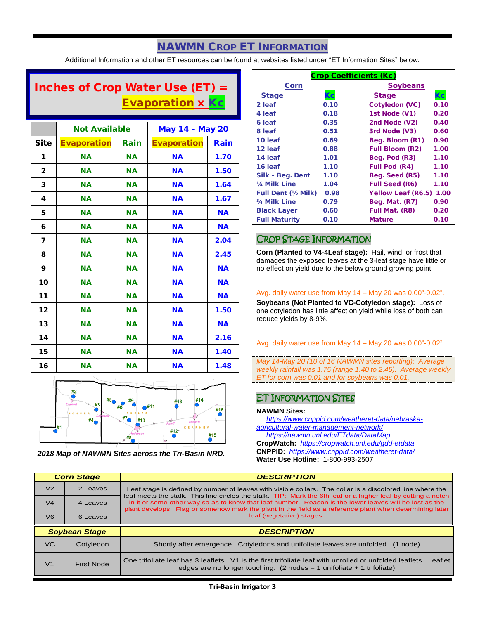## NAWMN CROP ET INFORMATION

Additional Information and other ET resources can be found at websites listed under "ET Information Sites" below.

## Inches of Crop Water Use (ET) = Evaporation x Kc

|              | <b>Not Available</b> |           | <b>May 14 - May 20</b> |           |
|--------------|----------------------|-----------|------------------------|-----------|
| Site         | <b>Evaporation</b>   | Rain      | <b>Evaporation</b>     | Rain      |
| 1            | <b>NA</b>            | <b>NA</b> | <b>NA</b>              | 1.70      |
| $\mathbf{2}$ | <b>NA</b>            | <b>NA</b> | <b>NA</b>              | 1.50      |
| 3            | <b>NA</b>            | <b>NA</b> | <b>NA</b>              | 1.64      |
| 4            | <b>NA</b>            | <b>NA</b> | <b>NA</b>              | 1.67      |
| 5            | <b>NA</b>            | <b>NA</b> | <b>NA</b>              | <b>NA</b> |
| 6            | <b>NA</b>            | <b>NA</b> | <b>NA</b>              | <b>NA</b> |
| 7            | <b>NA</b>            | <b>NA</b> | <b>NA</b>              | 2.04      |
| 8            | <b>NA</b>            | <b>NA</b> | <b>NA</b>              | 2.45      |
| 9            | <b>NA</b>            | <b>NA</b> | <b>NA</b>              | <b>NA</b> |
| 10           | <b>NA</b>            | <b>NA</b> | <b>NA</b>              | <b>NA</b> |
| 11           | <b>NA</b>            | <b>NA</b> | <b>NA</b>              | <b>NA</b> |
| 12           | <b>NA</b>            | <b>NA</b> | <b>NA</b>              | 1.50      |
| 13           | <b>NA</b>            | <b>NA</b> | <b>NA</b>              | <b>NA</b> |
| 14           | <b>NA</b>            | <b>NA</b> | <b>NA</b>              | 2.16      |
| 15           | <b>NA</b>            | <b>NA</b> | <b>NA</b>              | 1.40      |
| 16           | <b>NA</b>            | <b>NA</b> | <b>NA</b>              | 1.48      |



*2018 Map of NAWMN Sites across the Tri-Basin NRD.*

| <b>Crop Coefficients (Kc)</b> |      |                           |      |
|-------------------------------|------|---------------------------|------|
| <b>Corn</b>                   |      | <b>Soybeans</b>           |      |
| <b>Stage</b>                  | Кc   | <b>Stage</b>              | Кc   |
| 2 leaf                        | 0.10 | <b>Cotyledon (VC)</b>     | 0.10 |
| 4 leaf                        | 0.18 | 1st Node (V1)             | 0.20 |
| 6 leaf                        | 0.35 | 2nd Node (V2)             | 0.40 |
| 8 leaf                        | 0.51 | 3rd Node (V3)             | 0.60 |
| 10 leaf                       | 0.69 | Beg. Bloom (R1)           | 0.90 |
| 12 leaf                       | 0.88 | <b>Full Bloom (R2)</b>    | 1.00 |
| 14 leaf                       | 1.01 | Beg. Pod (R3)             | 1.10 |
| 16 leaf                       | 1.10 | <b>Full Pod (R4)</b>      | 1.10 |
| Silk - Beg. Dent              | 1.10 | Beg. Seed (R5)            | 1.10 |
| 1/4 Milk Line                 | 1.04 | <b>Full Seed (R6)</b>     | 1.10 |
| <b>Full Dent (1/2 Milk)</b>   | 0.98 | <b>Yellow Leaf (R6.5)</b> | 1.00 |
| 3/4 Milk Line                 | 0.79 | Beg. Mat. (R7)            | 0.90 |
| <b>Black Layer</b>            | 0.60 | Full Mat. (R8)            | 0.20 |
| <b>Full Maturity</b>          | 0.10 | <b>Mature</b>             | 0.10 |

## CROP STAGE INFORMATION

**Corn (Planted to V4-4Leaf stage):** Hail, wind, or frost that damages the exposed leaves at the 3-leaf stage have little or no effect on yield due to the below ground growing point.

#### Avg. daily water use from May 14 – May 20 was 0.00"-0.02".

**Soybeans (Not Planted to VC-Cotyledon stage):** Loss of one cotyledon has little affect on yield while loss of both can reduce yields by 8-9%.

Avg. daily water use from May 14 – May 20 was 0.00"-0.02".

*May 14-May 20 (10 of 16 NAWMN sites reporting): Average weekly rainfall was 1.75 (range 1.40 to 2.45). Average weekly ET for corn was 0.01 and for soybeans was 0.01.*

### ET INFORMATION SITES

#### **NAWMN Sites:**

 *[https://www.cnppid.com/weatheret-data/nebraska](https://www.cnppid.com/weatheret-data/nebraska-agricultural-water-management-network/)[agricultural-water-management-network/](https://www.cnppid.com/weatheret-data/nebraska-agricultural-water-management-network/)*

 *<https://nawmn.unl.edu/ETdata/DataMap>* **CropWatch:** *<https://cropwatch.unl.edu/gdd-etdata>* **CNPPID:** *<https://www.cnppid.com/weatheret-data/>* **Water Use Hotline:** 1-800-993-2507

| <b>Corn Stage</b> |                      | <b>DESCRIPTION</b>                                                                                                                                                                                                                                                                                                                                              |  |
|-------------------|----------------------|-----------------------------------------------------------------------------------------------------------------------------------------------------------------------------------------------------------------------------------------------------------------------------------------------------------------------------------------------------------------|--|
| V <sub>2</sub>    | 2 Leaves             | Leaf stage is defined by number of leaves with visible collars. The collar is a discolored line where the                                                                                                                                                                                                                                                       |  |
| V <sub>4</sub>    | 4 Leaves             | leaf meets the stalk. This line circles the stalk. TIP: Mark the 6th leaf or a higher leaf by cutting a notch<br>in it or some other way so as to know that leaf number. Reason is the lower leaves will be lost as the<br>plant develops. Flag or somehow mark the plant in the field as a reference plant when determining later<br>leaf (vegetative) stages. |  |
| V <sub>6</sub>    | 6 Leaves             |                                                                                                                                                                                                                                                                                                                                                                 |  |
|                   |                      |                                                                                                                                                                                                                                                                                                                                                                 |  |
|                   | <b>Soybean Stage</b> | <b>DESCRIPTION</b>                                                                                                                                                                                                                                                                                                                                              |  |
| VC.               | Cotyledon            | Shortly after emergence. Cotyledons and unifoliate leaves are unfolded. (1 node)                                                                                                                                                                                                                                                                                |  |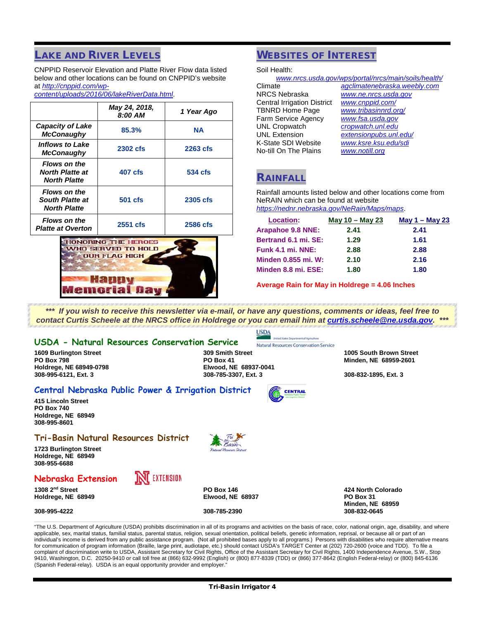## **LAKE AND RIVER LEVELS**

CNPPID Reservoir Elevation and Platte River Flow data listed below and other locations can be found on CNPPID's website at *[http://cnppid.com/wp-](http://cnppid.com/wp-content/uploads/2016/06/lakeRiverData.html)*

*[content/uploads/2016/06/lakeRiverData.html](http://cnppid.com/wp-content/uploads/2016/06/lakeRiverData.html)*.

|                                                                      | May 24, 2018,<br>8:00 AM | 1 Year Ago |
|----------------------------------------------------------------------|--------------------------|------------|
| <b>Capacity of Lake</b><br><b>McConaughy</b>                         | 85.3%                    | <b>NA</b>  |
| Inflows to Lake<br><b>McConaughy</b>                                 | 2302 cfs                 | 2263 cfs   |
| <b>Flows on the</b><br><b>North Platte at</b><br><b>North Platte</b> | 407 cfs                  | 534 cfs    |
| <b>Flows on the</b><br>South Platte at<br><b>North Platte</b>        | <b>501 cfs</b>           | 2305 cfs   |
| <b>Flows on the</b><br><b>Platte at Overton</b>                      | 2551 cfs                 | 2586 cfs   |



## WEBSITES OF INTEREST

Soil Health:

|                                    | www.nrcs.usda.gov/wps/portal/nrcs/main/soils/health/ |
|------------------------------------|------------------------------------------------------|
| Climate                            | agclimatenebraska.weebly.com                         |
| <b>NRCS Nebraska</b>               | www.ne.nrcs.usda.gov                                 |
| <b>Central Irrigation District</b> | www.cnppid.com/                                      |
| <b>TBNRD Home Page</b>             | www.tribasinnrd.org/                                 |
| Farm Service Agency                | www.fsa.usda.gov                                     |
| <b>UNL Cropwatch</b>               | cropwatch.unl.edu                                    |
| <b>UNL Extension</b>               | extensionpubs.unl.edu/                               |
| K-State SDI Website                | www.ksre.ksu.edu/sdi                                 |
| No-till On The Plains              | www.notill.org                                       |
|                                    |                                                      |

## RAINFALL

**CENTRAL** 

Rainfall amounts listed below and other locations come from NeRAIN which can be found at website *<https://nednr.nebraska.gov/NeRain/Maps/maps>*.

| <b>Location:</b>           | May $10 -$ May 23 | May $1 -$ May 23 |
|----------------------------|-------------------|------------------|
| Arapahoe 9.8 NNE:          | 2.41              | 2.41             |
| Bertrand 6.1 mi. SE:       | 1.29              | 1.61             |
| <b>Funk 4.1 mi. NNE:</b>   | 2.88              | 2.88             |
| <b>Minden 0.855 mi. W:</b> | 2.10              | 2.16             |
| Minden 8.8 mi. ESE:        | 1.80              | 1.80             |

**Average Rain for May in Holdrege = 4.06 Inches**

*\*\*\* If you wish to receive this newsletter via e-mail, or have any questions, comments or ideas, feel free to contact Curtis Scheele at the NRCS office in Holdrege or you can email him at [curtis.scheele@ne.usda.gov.](mailto:curtis.scheele@ne.usda.gov?subject=Tri-Basin%20Irrigator) \*\*\**

#### **USDA - Natural Resources Conservation Service**

**Holdrege, NE 68949-0798 Elwood, NE 68937-0041**

Natural Resources Conservation Service **1609 Burlington Street 309 Smith Street 1005 South Brown Street PO Box 798 PO Box 41 Minden, NE 68959-2601**

#### **Central Nebraska Public Power & Irrigation District**

**415 Lincoln Street PO Box 740 Holdrege, NE 68949 308-995-8601**

#### **Tri-Basin Natural Resources District**

**1723 Burlington Street Holdrege, NE 68949 308-955-6688**

### **Nebraska Extension**



**1308 2nd Street PO Box 146 424 North Colorado**  $H$ oldrege, NE 68949

**308-995-4222 308-785-2390 308-832-0645**

**Minden, NE 68959**

**308-995-6121, Ext. 3 308-785-3307, Ext. 3 308-832-1895, Ext. 3**

"The U.S. Department of Agriculture (USDA) prohibits discrimination in all of its programs and activities on the basis of race, color, national origin, age, disability, and where applicable, sex, marital status, familial status, parental status, religion, sexual orientation, political beliefs, genetic information, reprisal, or because all or part of an individual's income is derived from any public assistance program. (Not all prohibited bases apply to all programs.) Persons with disabilities who require alternative means for communication of program information (Braille, large print, audiotape, etc.) should contact USDA's TARGET Center at (202) 720-2600 (voice and TDD). To file a complaint of discrimination write to USDA, Assistant Secretary for Civil Rights, Office of the Assistant Secretary for Civil Rights, 1400 Independence Avenue, S.W., Stop 9410, Washington, D.C. 20250-9410 or call toll free at (866) 632-9992 (English) or (800) 877-8339 (TDD) or (866) 377-8642 (English Federal-relay) or (800) 845-6136 (Spanish Federal-relay). USDA is an equal opportunity provider and employer.